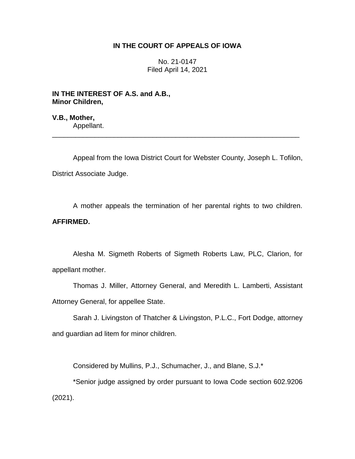# **IN THE COURT OF APPEALS OF IOWA**

No. 21-0147 Filed April 14, 2021

**IN THE INTEREST OF A.S. and A.B., Minor Children,**

**V.B., Mother,** Appellant.

Appeal from the Iowa District Court for Webster County, Joseph L. Tofilon, District Associate Judge.

\_\_\_\_\_\_\_\_\_\_\_\_\_\_\_\_\_\_\_\_\_\_\_\_\_\_\_\_\_\_\_\_\_\_\_\_\_\_\_\_\_\_\_\_\_\_\_\_\_\_\_\_\_\_\_\_\_\_\_\_\_\_\_\_

A mother appeals the termination of her parental rights to two children. **AFFIRMED.**

Alesha M. Sigmeth Roberts of Sigmeth Roberts Law, PLC, Clarion, for appellant mother.

Thomas J. Miller, Attorney General, and Meredith L. Lamberti, Assistant Attorney General, for appellee State.

Sarah J. Livingston of Thatcher & Livingston, P.L.C., Fort Dodge, attorney and guardian ad litem for minor children.

Considered by Mullins, P.J., Schumacher, J., and Blane, S.J.\*

\*Senior judge assigned by order pursuant to Iowa Code section 602.9206 (2021).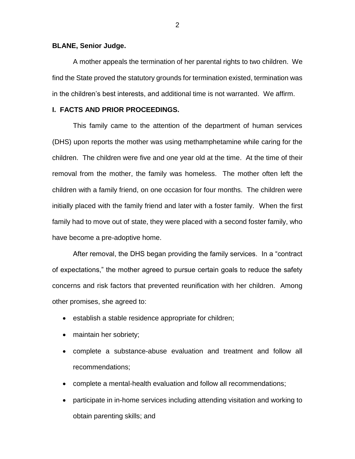### **BLANE, Senior Judge.**

A mother appeals the termination of her parental rights to two children. We find the State proved the statutory grounds for termination existed, termination was in the children's best interests, and additional time is not warranted. We affirm.

# **I. FACTS AND PRIOR PROCEEDINGS.**

This family came to the attention of the department of human services (DHS) upon reports the mother was using methamphetamine while caring for the children. The children were five and one year old at the time. At the time of their removal from the mother, the family was homeless. The mother often left the children with a family friend, on one occasion for four months. The children were initially placed with the family friend and later with a foster family. When the first family had to move out of state, they were placed with a second foster family, who have become a pre-adoptive home.

After removal, the DHS began providing the family services. In a "contract of expectations," the mother agreed to pursue certain goals to reduce the safety concerns and risk factors that prevented reunification with her children. Among other promises, she agreed to:

- establish a stable residence appropriate for children;
- maintain her sobriety;
- complete a substance-abuse evaluation and treatment and follow all recommendations;
- complete a mental-health evaluation and follow all recommendations;
- participate in in-home services including attending visitation and working to obtain parenting skills; and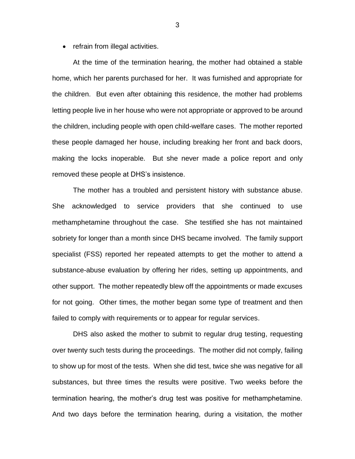• refrain from illegal activities.

At the time of the termination hearing, the mother had obtained a stable home, which her parents purchased for her. It was furnished and appropriate for the children. But even after obtaining this residence, the mother had problems letting people live in her house who were not appropriate or approved to be around the children, including people with open child-welfare cases. The mother reported these people damaged her house, including breaking her front and back doors, making the locks inoperable. But she never made a police report and only removed these people at DHS's insistence.

The mother has a troubled and persistent history with substance abuse. She acknowledged to service providers that she continued to use methamphetamine throughout the case. She testified she has not maintained sobriety for longer than a month since DHS became involved. The family support specialist (FSS) reported her repeated attempts to get the mother to attend a substance-abuse evaluation by offering her rides, setting up appointments, and other support. The mother repeatedly blew off the appointments or made excuses for not going. Other times, the mother began some type of treatment and then failed to comply with requirements or to appear for regular services.

DHS also asked the mother to submit to regular drug testing, requesting over twenty such tests during the proceedings. The mother did not comply, failing to show up for most of the tests. When she did test, twice she was negative for all substances, but three times the results were positive. Two weeks before the termination hearing, the mother's drug test was positive for methamphetamine. And two days before the termination hearing, during a visitation, the mother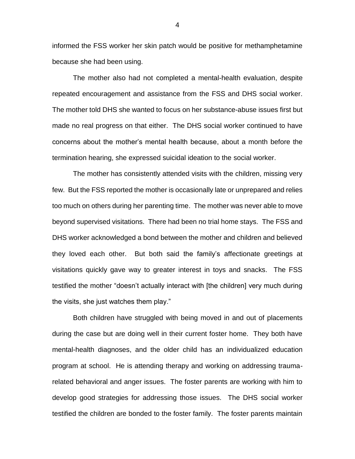informed the FSS worker her skin patch would be positive for methamphetamine because she had been using.

The mother also had not completed a mental-health evaluation, despite repeated encouragement and assistance from the FSS and DHS social worker. The mother told DHS she wanted to focus on her substance-abuse issues first but made no real progress on that either. The DHS social worker continued to have concerns about the mother's mental health because, about a month before the termination hearing, she expressed suicidal ideation to the social worker.

The mother has consistently attended visits with the children, missing very few. But the FSS reported the mother is occasionally late or unprepared and relies too much on others during her parenting time. The mother was never able to move beyond supervised visitations. There had been no trial home stays. The FSS and DHS worker acknowledged a bond between the mother and children and believed they loved each other. But both said the family's affectionate greetings at visitations quickly gave way to greater interest in toys and snacks. The FSS testified the mother "doesn't actually interact with [the children] very much during the visits, she just watches them play."

Both children have struggled with being moved in and out of placements during the case but are doing well in their current foster home. They both have mental-health diagnoses, and the older child has an individualized education program at school. He is attending therapy and working on addressing traumarelated behavioral and anger issues. The foster parents are working with him to develop good strategies for addressing those issues. The DHS social worker testified the children are bonded to the foster family. The foster parents maintain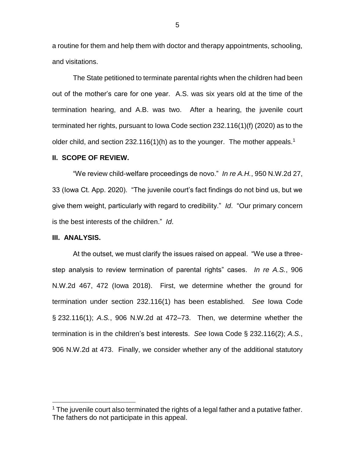a routine for them and help them with doctor and therapy appointments, schooling, and visitations.

The State petitioned to terminate parental rights when the children had been out of the mother's care for one year. A.S. was six years old at the time of the termination hearing, and A.B. was two. After a hearing, the juvenile court terminated her rights, pursuant to Iowa Code section 232.116(1)(f) (2020) as to the older child, and section 232.116(1)(h) as to the younger. The mother appeals.<sup>1</sup>

#### **II. SCOPE OF REVIEW.**

"We review child-welfare proceedings de novo." *In re A.H.*, 950 N.W.2d 27, 33 (Iowa Ct. App. 2020). "The juvenile court's fact findings do not bind us, but we give them weight, particularly with regard to credibility." *Id*. "Our primary concern is the best interests of the children." *Id*.

#### **III. ANALYSIS.**

 $\overline{a}$ 

At the outset, we must clarify the issues raised on appeal. "We use a threestep analysis to review termination of parental rights" cases. *In re A.S.*, 906 N.W.2d 467, 472 (Iowa 2018). First, we determine whether the ground for termination under section 232.116(1) has been established. *See* Iowa Code § 232.116(1); *A.S.*, 906 N.W.2d at 472–73. Then, we determine whether the termination is in the children's best interests. *See* Iowa Code § 232.116(2); *A.S.*, 906 N.W.2d at 473. Finally, we consider whether any of the additional statutory

 $1$  The juvenile court also terminated the rights of a legal father and a putative father. The fathers do not participate in this appeal.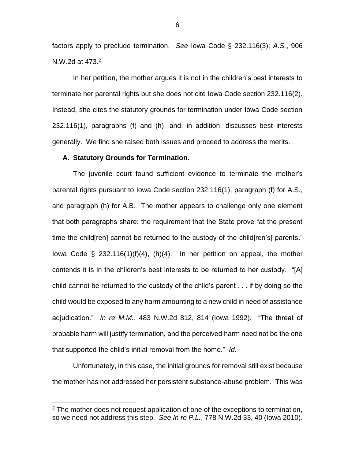factors apply to preclude termination. *See* Iowa Code § 232.116(3); *A.S.*, 906 N.W.2d at 473.<sup>2</sup>

In her petition, the mother argues it is not in the children's best interests to terminate her parental rights but she does not cite Iowa Code section 232.116(2). Instead, she cites the statutory grounds for termination under Iowa Code section 232.116(1), paragraphs (f) and (h), and, in addition, discusses best interests generally. We find she raised both issues and proceed to address the merits.

#### **A. Statutory Grounds for Termination.**

 $\overline{a}$ 

The juvenile court found sufficient evidence to terminate the mother's parental rights pursuant to Iowa Code section 232.116(1), paragraph (f) for A.S., and paragraph (h) for A.B. The mother appears to challenge only one element that both paragraphs share: the requirement that the State prove "at the present time the child[ren] cannot be returned to the custody of the child[ren's] parents." lowa Code  $\S$  232.116(1)(f)(4), (h)(4). In her petition on appeal, the mother contends it is in the children's best interests to be returned to her custody. "[A] child cannot be returned to the custody of the child's parent . . . if by doing so the child would be exposed to any harm amounting to a new child in need of assistance adjudication." *In re M.M.*, 483 N.W.2d 812, 814 (Iowa 1992). "The threat of probable harm will justify termination, and the perceived harm need not be the one that supported the child's initial removal from the home." *Id*.

Unfortunately, in this case, the initial grounds for removal still exist because the mother has not addressed her persistent substance-abuse problem. This was

 $2$  The mother does not request application of one of the exceptions to termination, so we need not address this step. *See In re P.L.*, 778 N.W.2d 33, 40 (Iowa 2010).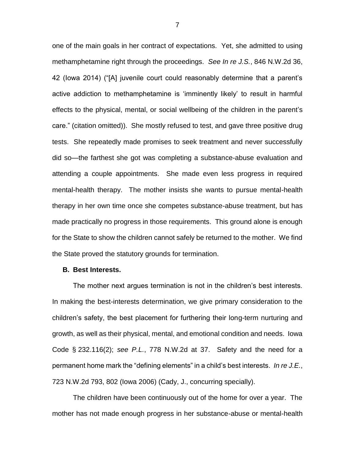one of the main goals in her contract of expectations. Yet, she admitted to using methamphetamine right through the proceedings. *See In re J.S.*, 846 N.W.2d 36, 42 (Iowa 2014) ("[A] juvenile court could reasonably determine that a parent's active addiction to methamphetamine is 'imminently likely' to result in harmful effects to the physical, mental, or social wellbeing of the children in the parent's care." (citation omitted)). She mostly refused to test, and gave three positive drug tests. She repeatedly made promises to seek treatment and never successfully did so—the farthest she got was completing a substance-abuse evaluation and attending a couple appointments. She made even less progress in required mental-health therapy. The mother insists she wants to pursue mental-health therapy in her own time once she competes substance-abuse treatment, but has made practically no progress in those requirements. This ground alone is enough for the State to show the children cannot safely be returned to the mother. We find the State proved the statutory grounds for termination.

### **B. Best Interests.**

The mother next argues termination is not in the children's best interests. In making the best-interests determination, we give primary consideration to the children's safety, the best placement for furthering their long-term nurturing and growth, as well as their physical, mental, and emotional condition and needs. Iowa Code § 232.116(2); *see P.L.*, 778 N.W.2d at 37. Safety and the need for a permanent home mark the "defining elements" in a child's best interests. *In re J.E.*, 723 N.W.2d 793, 802 (Iowa 2006) (Cady, J., concurring specially).

The children have been continuously out of the home for over a year. The mother has not made enough progress in her substance-abuse or mental-health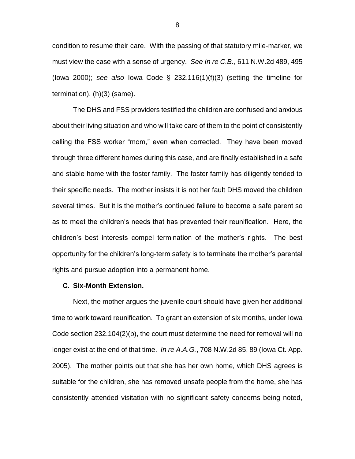condition to resume their care. With the passing of that statutory mile-marker, we must view the case with a sense of urgency. *See In re C.B.*, 611 N.W.2d 489, 495 (Iowa 2000); *see also* Iowa Code § 232.116(1)(f)(3) (setting the timeline for termination), (h)(3) (same).

The DHS and FSS providers testified the children are confused and anxious about their living situation and who will take care of them to the point of consistently calling the FSS worker "mom," even when corrected. They have been moved through three different homes during this case, and are finally established in a safe and stable home with the foster family. The foster family has diligently tended to their specific needs. The mother insists it is not her fault DHS moved the children several times. But it is the mother's continued failure to become a safe parent so as to meet the children's needs that has prevented their reunification. Here, the children's best interests compel termination of the mother's rights. The best opportunity for the children's long-term safety is to terminate the mother's parental rights and pursue adoption into a permanent home.

### **C. Six-Month Extension.**

Next, the mother argues the juvenile court should have given her additional time to work toward reunification. To grant an extension of six months, under Iowa Code section 232.104(2)(b), the court must determine the need for removal will no longer exist at the end of that time. *In re A.A.G.*, 708 N.W.2d 85, 89 (Iowa Ct. App. 2005). The mother points out that she has her own home, which DHS agrees is suitable for the children, she has removed unsafe people from the home, she has consistently attended visitation with no significant safety concerns being noted,